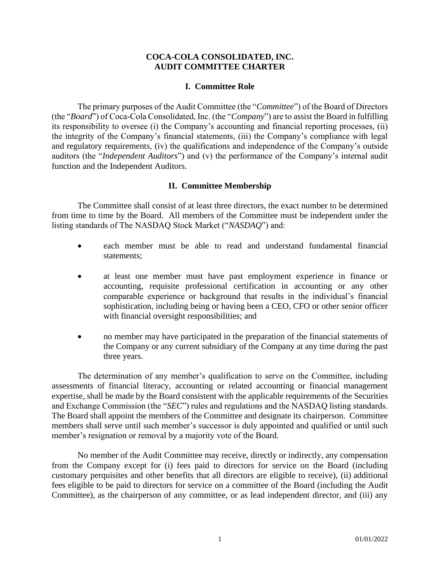### **COCA-COLA CONSOLIDATED, INC. AUDIT COMMITTEE CHARTER**

#### **I. Committee Role**

The primary purposes of the Audit Committee (the "*Committee*") of the Board of Directors (the "*Board*") of Coca-Cola Consolidated, Inc. (the "*Company*") are to assist the Board in fulfilling its responsibility to oversee (i) the Company's accounting and financial reporting processes, (ii) the integrity of the Company's financial statements, (iii) the Company's compliance with legal and regulatory requirements, (iv) the qualifications and independence of the Company's outside auditors (the "*Independent Auditors*") and (v) the performance of the Company's internal audit function and the Independent Auditors.

#### **II. Committee Membership**

The Committee shall consist of at least three directors, the exact number to be determined from time to time by the Board. All members of the Committee must be independent under the listing standards of The NASDAQ Stock Market ("*NASDAQ*") and:

- each member must be able to read and understand fundamental financial statements;
- at least one member must have past employment experience in finance or accounting, requisite professional certification in accounting or any other comparable experience or background that results in the individual's financial sophistication, including being or having been a CEO, CFO or other senior officer with financial oversight responsibilities; and
- no member may have participated in the preparation of the financial statements of the Company or any current subsidiary of the Company at any time during the past three years.

The determination of any member's qualification to serve on the Committee, including assessments of financial literacy, accounting or related accounting or financial management expertise, shall be made by the Board consistent with the applicable requirements of the Securities and Exchange Commission (the "*SEC*") rules and regulations and the NASDAQ listing standards. The Board shall appoint the members of the Committee and designate its chairperson. Committee members shall serve until such member's successor is duly appointed and qualified or until such member's resignation or removal by a majority vote of the Board.

No member of the Audit Committee may receive, directly or indirectly, any compensation from the Company except for (i) fees paid to directors for service on the Board (including customary perquisites and other benefits that all directors are eligible to receive), (ii) additional fees eligible to be paid to directors for service on a committee of the Board (including the Audit Committee), as the chairperson of any committee, or as lead independent director, and (iii) any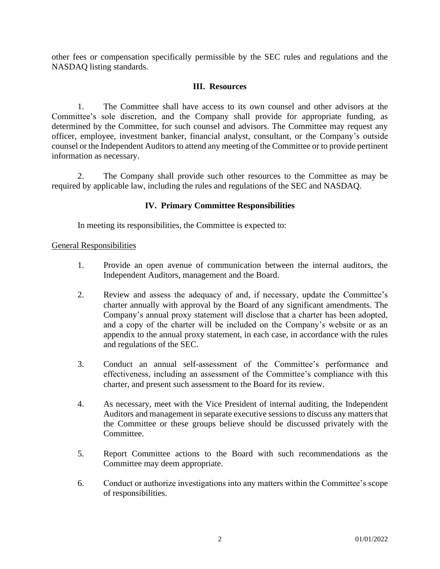other fees or compensation specifically permissible by the SEC rules and regulations and the NASDAQ listing standards.

### **III. Resources**

1. The Committee shall have access to its own counsel and other advisors at the Committee's sole discretion, and [the Company](file:///C:/$/SEC/Registrant.asp%3fCIK=317540) shall provide for appropriate funding, as determined by the Committee, for such counsel and advisors. The Committee may request any officer, employee, investment banker, financial analyst, consultant, or [the Company'](file:///C:/$/SEC/Registrant.asp%3fCIK=317540)s outside counsel or the Independent Auditors to attend any meeting of the Committee or to provide pertinent information as necessary.

2. [The Company](file:///C:/$/SEC/Registrant.asp%3fCIK=317540) shall provide such other resources to the Committee as may be required by applicable law, including the rules and regulations of the SEC and NASDAQ.

## **IV. Primary Committee Responsibilities**

In meeting its responsibilities, the Committee is expected to:

### General Responsibilities

- 1. Provide an open avenue of communication between the internal auditors, the Independent Auditors, management and the Board.
- 2. Review and assess the adequacy of and, if necessary, update the Committee's charter annually with approval by the Board of any significant amendments. [The](file:///C:/$/SEC/Registrant.asp%3fCIK=317540)  [Company'](file:///C:/$/SEC/Registrant.asp%3fCIK=317540)s annual proxy statement will disclose that a charter has been adopted, and a copy of the charter will be included on the Company's website or as an appendix to the annual proxy statement, in each case, in accordance with the rules and regulations of the SEC.
- 3. Conduct an annual self-assessment of the Committee's performance and effectiveness, including an assessment of the Committee's compliance with this charter, and present such assessment to the Board for its review.
- 4. As necessary, meet with the Vice President of internal auditing, the Independent Auditors and management in separate executive sessions to discuss any matters that the Committee or these groups believe should be discussed privately with the Committee.
- 5. Report Committee actions to the Board with such recommendations as the Committee may deem appropriate.
- 6. Conduct or authorize investigations into any matters within the Committee's scope of responsibilities.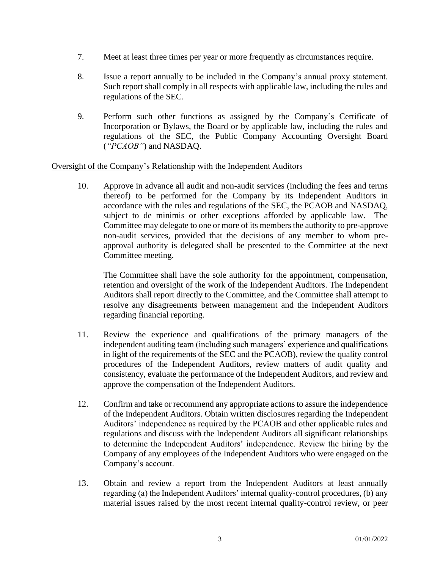- 7. Meet at least three times per year or more frequently as circumstances require.
- 8. Issue a report annually to be included in [the Company'](file:///C:/$/SEC/Registrant.asp%3fCIK=317540)s annual proxy statement. Such report shall comply in all respects with applicable law, including the rules and regulations of the SEC.
- 9. Perform such other functions as assigned by [the Company'](file:///C:/$/SEC/Registrant.asp%3fCIK=317540)s [Certificate of](file:///C:/$/SEC/Documents.asp%3fCIK=317540&Type=EX-3)  [Incorporation](file:///C:/$/SEC/Documents.asp%3fCIK=317540&Type=EX-3) or [Bylaws,](file:///C:/$/SEC/Documents.asp%3fCIK=317540&Type=EX-3) the Board or by applicable law, including the rules and regulations of the SEC, the Public Company Accounting Oversight Board (*"PCAOB"*) and NASDAQ.

### Oversight of [the Company'](file:///C:/$/SEC/Registrant.asp%3fCIK=317540)s Relationship with the Independent Auditors

10. Approve in advance all audit and non-audit services (including the fees and terms thereof) to be performed for [the Company](file:///C:/$/SEC/Registrant.asp%3fCIK=317540) by its Independent Auditors in accordance with the rules and regulations of the SEC, the PCAOB and NASDAQ, subject to de minimis or other exceptions afforded by applicable law. The Committee may delegate to one or more of its members the authority to pre-approve non-audit services, provided that the decisions of any member to whom preapproval authority is delegated shall be presented to the Committee at the next Committee meeting.

The Committee shall have the sole authority for the appointment, compensation, retention and oversight of the work of the Independent Auditors. The Independent Auditors shall report directly to the Committee, and the Committee shall attempt to resolve any disagreements between management and the Independent Auditors regarding financial reporting.

- 11. Review the experience and qualifications of the primary managers of the independent auditing team (including such managers' experience and qualifications in light of the requirements of the SEC and the PCAOB), review the quality control procedures of the Independent Auditors, review matters of audit quality and consistency, evaluate the performance of the Independent Auditors, and review and approve the compensation of the Independent Auditors.
- 12. Confirm and take or recommend any appropriate actions to assure the independence of the Independent Auditors. Obtain written disclosures regarding the Independent Auditors' independence as required by the PCAOB and other applicable rules and regulations and discuss with the Independent Auditors all significant relationships to determine the Independent Auditors' independence. Review the hiring by [the](file:///C:/$/SEC/Registrant.asp%3fCIK=317540)  [Company](file:///C:/$/SEC/Registrant.asp%3fCIK=317540) of any employees of the Independent Auditors who were engaged on [the](file:///C:/$/SEC/Registrant.asp%3fCIK=317540)  [Company'](file:///C:/$/SEC/Registrant.asp%3fCIK=317540)s account.
- 13. Obtain and review a report from the Independent Auditors at least annually regarding (a) the Independent Auditors' internal quality-control procedures, (b) any material issues raised by the most recent internal quality-control review, or peer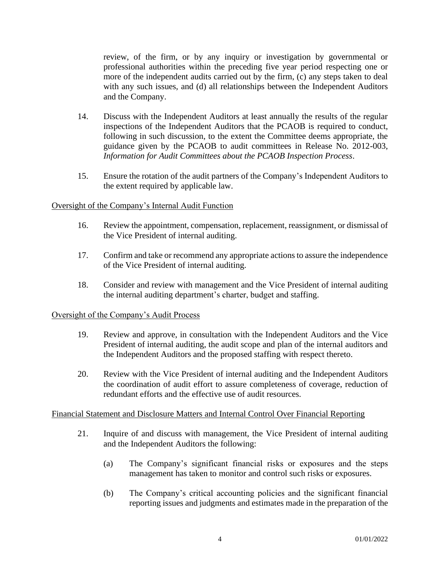review, of the firm, or by any inquiry or investigation by governmental or professional authorities within the preceding five year period respecting one or more of the independent audits carried out by the firm, (c) any steps taken to deal with any such issues, and (d) all relationships between the Independent Auditors and [the Company.](file:///C:/$/SEC/Registrant.asp%3fCIK=317540)

- 14. Discuss with the Independent Auditors at least annually the results of the regular inspections of the Independent Auditors that the PCAOB is required to conduct, following in such discussion, to the extent the Committee deems appropriate, the guidance given by the PCAOB to audit committees in Release No. 2012-003, *Information for Audit Committees about the PCAOB Inspection Process*.
- 15. Ensure the rotation of the audit partners of [the Company'](file:///C:/$/SEC/Registrant.asp%3fCIK=317540)s Independent Auditors to the extent required by applicable law.

## Oversight of [the Company'](file:///C:/$/SEC/Registrant.asp%3fCIK=317540)s Internal Audit Function

- 16. Review the appointment, compensation, replacement, reassignment, or dismissal of the Vice President of internal auditing.
- 17. Confirm and take or recommend any appropriate actions to assure the independence of the Vice President of internal auditing.
- 18. Consider and review with management and the Vice President of internal auditing the internal auditing department's charter, budget and staffing.

### Oversight of the Company's Audit Process

- 19. Review and approve, in consultation with the Independent Auditors and the Vice President of internal auditing, the audit scope and plan of the internal auditors and the Independent Auditors and the proposed staffing with respect thereto.
- 20. Review with the Vice President of internal auditing and the Independent Auditors the coordination of audit effort to assure completeness of coverage, reduction of redundant efforts and the effective use of audit resources.

### Financial Statement and Disclosure Matters and Internal Control Over Financial Reporting

- 21. Inquire of and discuss with management, the Vice President of internal auditing and the Independent Auditors the following:
	- (a) [The Company'](file:///C:/$/SEC/Registrant.asp%3fCIK=317540)s significant financial risks or exposures and the steps management has taken to monitor and control such risks or exposures.
	- (b) The Company's critical accounting policies and the significant financial reporting issues and judgments and estimates made in the preparation of [the](file:///C:/$/SEC/Registrant.asp%3fCIK=317540)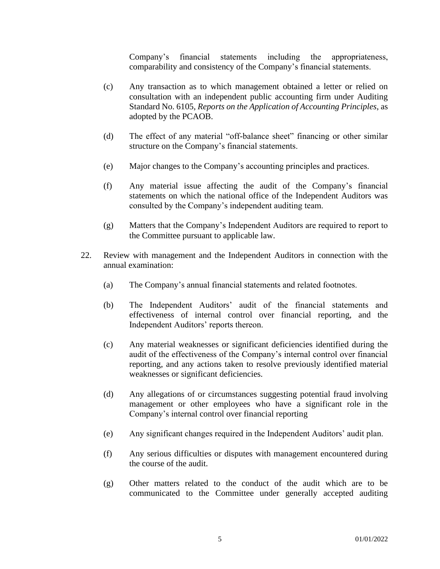[Company'](file:///C:/$/SEC/Registrant.asp%3fCIK=317540)s financial statements including the appropriateness, comparability and consistency of [the Company'](file:///C:/$/SEC/Registrant.asp%3fCIK=317540)s financial statements.

- (c) Any transaction as to which management obtained a letter or relied on consultation with an independent public accounting firm under Auditing Standard No. 6105, *Reports on the Application of Accounting Principles*, as adopted by the PCAOB.
- (d) The effect of any material "off-balance sheet" financing or other similar structure on [the Company'](file:///C:/$/SEC/Registrant.asp%3fCIK=317540)s financial statements.
- (e) Major changes to [the Company'](file:///C:/$/SEC/Registrant.asp%3fCIK=317540)s accounting principles and practices.
- (f) Any material issue affecting the audit of [the Company'](file:///C:/$/SEC/Registrant.asp%3fCIK=317540)s financial statements on which the national office of the Independent Auditors was consulted by the Company's independent auditing team.
- (g) Matters that [the Company'](file:///C:/$/SEC/Registrant.asp%3fCIK=317540)s Independent Auditors are required to report to the Committee pursuant to applicable law.
- 22. Review with management and the Independent Auditors in connection with the annual examination:
	- (a) [The Company'](file:///C:/$/SEC/Registrant.asp%3fCIK=317540)s annual financial statements and related footnotes.
	- (b) The Independent Auditors' audit of the financial statements and effectiveness of internal control over financial reporting, and the Independent Auditors' reports thereon.
	- (c) Any material weaknesses or significant deficiencies identified during the audit of the effectiveness of the Company's internal control over financial reporting, and any actions taken to resolve previously identified material weaknesses or significant deficiencies.
	- (d) Any allegations of or circumstances suggesting potential fraud involving management or other employees who have a significant role in the Company's internal control over financial reporting
	- (e) Any significant changes required in the Independent Auditors' audit plan.
	- (f) Any serious difficulties or disputes with management encountered during the course of the audit.
	- (g) Other matters related to the conduct of the audit which are to be communicated to the Committee under generally accepted auditing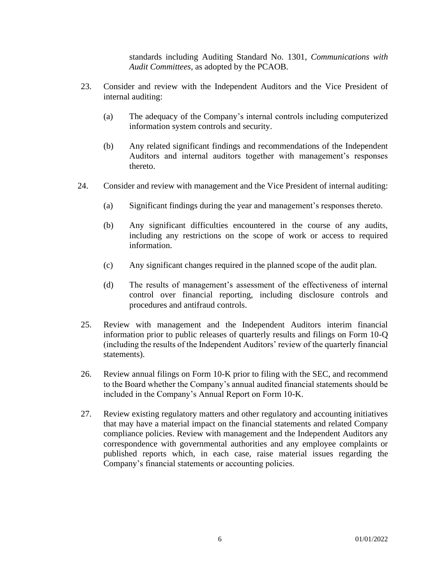standards including Auditing Standard No. 1301, *Communications with Audit Committees*, as adopted by the PCAOB.

- 23. Consider and review with the Independent Auditors and the Vice President of internal auditing:
	- (a) The adequacy of [the Company'](file:///C:/$/SEC/Registrant.asp%3fCIK=317540)s internal controls including computerized information system controls and security.
	- (b) Any related significant findings and recommendations of the Independent Auditors and internal auditors together with management's responses thereto.
- 24. Consider and review with management and the Vice President of internal auditing:
	- (a) Significant findings during the year and management's responses thereto.
	- (b) Any significant difficulties encountered in the course of any audits, including any restrictions on the scope of work or access to required information.
	- (c) Any significant changes required in the planned scope of the audit plan.
	- (d) The results of management's assessment of the effectiveness of internal control over financial reporting, including disclosure controls and procedures and antifraud controls.
- 25. Review with management and the Independent Auditors interim financial information prior to public releases of quarterly results and filings on Form 10-Q (including the results of the Independent Auditors' review of the quarterly financial statements).
- 26. Review annual filings on Form 10-K prior to filing with the SEC, and recommend to the Board whether the Company's annual audited financial statements should be included in the Company's Annual Report on Form 10-K.
- 27. Review existing regulatory matters and other regulatory and accounting initiatives that may have a material impact on the financial statements and related Company compliance policies. Review with management and the Independent Auditors any correspondence with governmental authorities and any employee complaints or published reports which, in each case, raise material issues regarding [the](file:///C:/$/SEC/Registrant.asp%3fCIK=317540)  [Company'](file:///C:/$/SEC/Registrant.asp%3fCIK=317540)s financial statements or accounting policies.